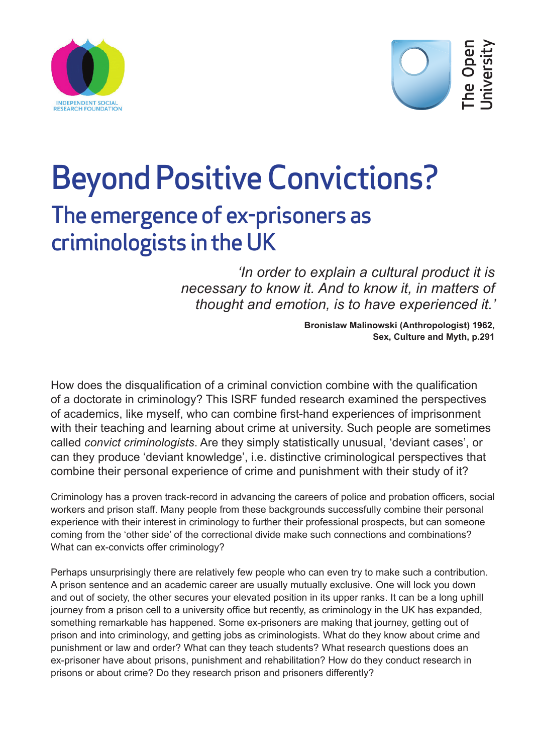



## Beyond Positive Convictions? The emergence of ex-prisoners as criminologists in the UK

*'In order to explain a cultural product it is necessary to know it. And to know it, in matters of thought and emotion, is to have experienced it.'* 

> **Bronislaw Malinowski (Anthropologist) 1962, Sex, Culture and Myth, p.291**

How does the disqualification of a criminal conviction combine with the qualification of a doctorate in criminology? This ISRF funded research examined the perspectives of academics, like myself, who can combine first-hand experiences of imprisonment with their teaching and learning about crime at university. Such people are sometimes called *convict criminologists*. Are they simply statistically unusual, 'deviant cases', or can they produce 'deviant knowledge', i.e. distinctive criminological perspectives that combine their personal experience of crime and punishment with their study of it?

Criminology has a proven track-record in advancing the careers of police and probation officers, social workers and prison staff. Many people from these backgrounds successfully combine their personal experience with their interest in criminology to further their professional prospects, but can someone coming from the 'other side' of the correctional divide make such connections and combinations? What can ex-convicts offer criminology?

Perhaps unsurprisingly there are relatively few people who can even try to make such a contribution. A prison sentence and an academic career are usually mutually exclusive. One will lock you down and out of society, the other secures your elevated position in its upper ranks. It can be a long uphill journey from a prison cell to a university office but recently, as criminology in the UK has expanded, something remarkable has happened. Some ex-prisoners are making that journey, getting out of prison and into criminology, and getting jobs as criminologists. What do they know about crime and punishment or law and order? What can they teach students? What research questions does an ex-prisoner have about prisons, punishment and rehabilitation? How do they conduct research in prisons or about crime? Do they research prison and prisoners differently?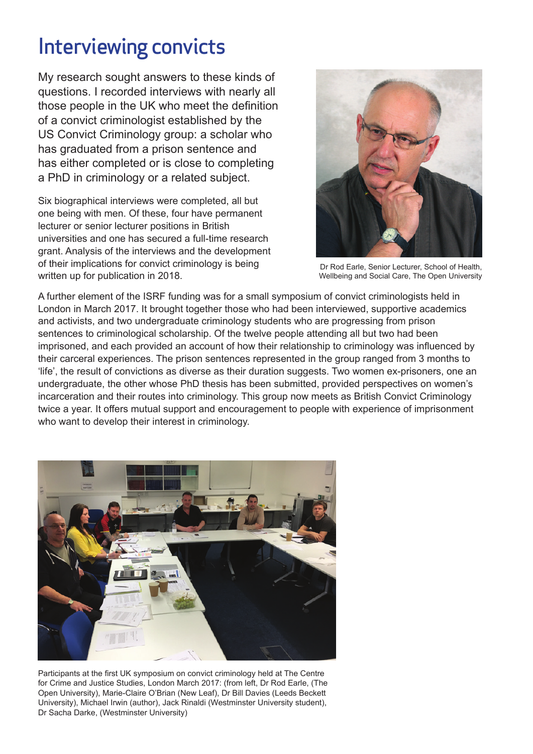## Interviewing convicts

My research sought answers to these kinds of questions. I recorded interviews with nearly all those people in the UK who meet the definition of a convict criminologist established by the US Convict Criminology group: a scholar who has graduated from a prison sentence and has either completed or is close to completing a PhD in criminology or a related subject.

Six biographical interviews were completed, all but one being with men. Of these, four have permanent lecturer or senior lecturer positions in British universities and one has secured a full-time research grant. Analysis of the interviews and the development of their implications for convict criminology is being written up for publication in 2018.



Dr Rod Earle, Senior Lecturer, School of Health, Wellbeing and Social Care, The Open University

A further element of the ISRF funding was for a small symposium of convict criminologists held in London in March 2017. It brought together those who had been interviewed, supportive academics and activists, and two undergraduate criminology students who are progressing from prison sentences to criminological scholarship. Of the twelve people attending all but two had been imprisoned, and each provided an account of how their relationship to criminology was influenced by their carceral experiences. The prison sentences represented in the group ranged from 3 months to 'life', the result of convictions as diverse as their duration suggests. Two women ex-prisoners, one an undergraduate, the other whose PhD thesis has been submitted, provided perspectives on women's incarceration and their routes into criminology. This group now meets as British Convict Criminology twice a year. It offers mutual support and encouragement to people with experience of imprisonment who want to develop their interest in criminology.



Participants at the first UK symposium on convict criminology held at The Centre for Crime and Justice Studies, London March 2017: (from left, Dr Rod Earle, (The Open University), Marie-Claire O'Brian (New Leaf), Dr Bill Davies (Leeds Beckett University), Michael Irwin (author), Jack Rinaldi (Westminster University student), Dr Sacha Darke, (Westminster University)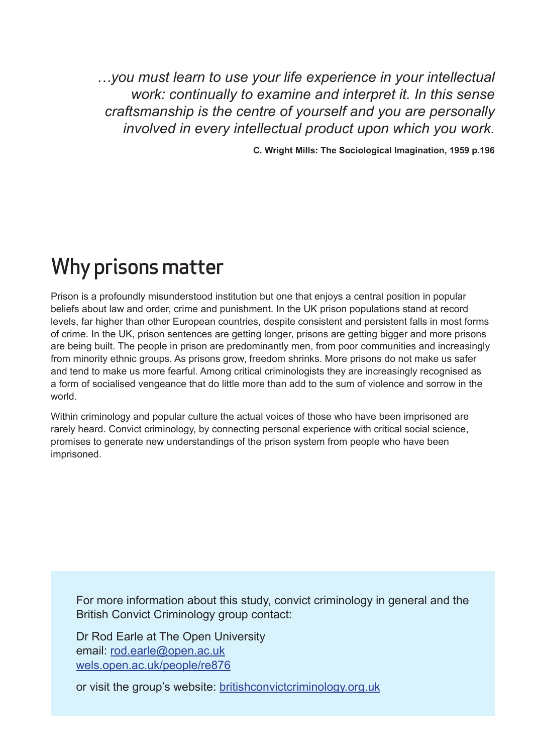*…you must learn to use your life experience in your intellectual work: continually to examine and interpret it. In this sense craftsmanship is the centre of yourself and you are personally involved in every intellectual product upon which you work.*

**C. Wright Mills: The Sociological Imagination, 1959 p.196**

## Why prisons matter

Prison is a profoundly misunderstood institution but one that enjoys a central position in popular beliefs about law and order, crime and punishment. In the UK prison populations stand at record levels, far higher than other European countries, despite consistent and persistent falls in most forms of crime. In the UK, prison sentences are getting longer, prisons are getting bigger and more prisons are being built. The people in prison are predominantly men, from poor communities and increasingly from minority ethnic groups. As prisons grow, freedom shrinks. More prisons do not make us safer and tend to make us more fearful. Among critical criminologists they are increasingly recognised as a form of socialised vengeance that do little more than add to the sum of violence and sorrow in the world.

Within criminology and popular culture the actual voices of those who have been imprisoned are rarely heard. Convict criminology, by connecting personal experience with critical social science, promises to generate new understandings of the prison system from people who have been imprisoned.

For more information about this study, convict criminology in general and the British Convict Criminology group contact:

Dr Rod Earle at The Open University email: [rod.earle@open.ac.uk](mailto:rod.earle%40open.ac.uk?subject=) [wels.open.ac.uk/people/re876](http://wels.open.ac.uk/people/re876)

or visit the group's website: [britishconvictcriminology.org.uk](http://www.britishconvictcriminology.org.uk)